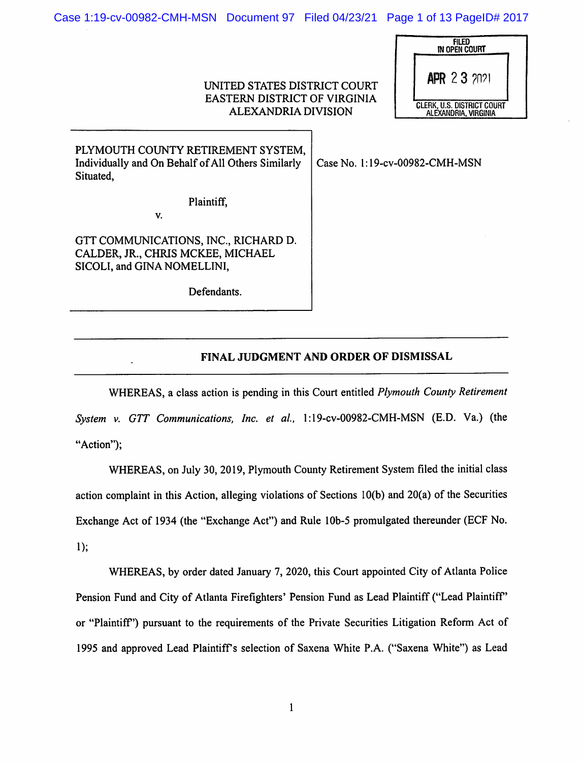Case 1:19-cv-00982-CMH-MSN Document 97 Filed 04/23/21 Page 1 of 13 PageID# 2017

## UNITED STATES DISTRICT COURT EASTERN DISTRICT OF VIRGINIA ALEXANDRIA DIVISION

| FILED<br>IN OPEN COURT                             |  |
|----------------------------------------------------|--|
| <b>APR 23 2021</b>                                 |  |
| CLERK, U.S. DISTRICT COURT<br>ALEXANDRIA, VIRGINIA |  |

| PLYMOUTH COUNTY RETIREMENT SYSTEM,<br>Individually and On Behalf of All Others Similarly<br>Situated,    | Case No. 1:19-cv-00982-CMH-MSN |
|----------------------------------------------------------------------------------------------------------|--------------------------------|
| Plaintiff.<br>V.                                                                                         |                                |
| GTT COMMUNICATIONS, INC., RICHARD D.<br>CALDER, JR., CHRIS MCKEE, MICHAEL<br>SICOLI, and GINA NOMELLINI, |                                |
| Defendants.                                                                                              |                                |

## FINAL JUDGMENT AND ORDER OF DISMISSAL

WHEREAS, a class action is pending in this Court entitled *Plymouth County Retirement* System v. GTT Communications, Inc. et al., 1:19-cv-00982-CMH-MSN (E.D. Va.) (the "Action");

WHEREAS, on July 30, 2019, Plymouth County Retirement System filed the initial class action complaint in this Action, alleging violations of Sections 10(b) and 20(a) of the Securities Exchange Act of 1934 (the "Exchange Act") and Rule lOb-5 promulgated thereunder (ECF No. 1);

WHEREAS, by order dated January 7, 2020, this Court appointed City of Atlanta Police Pension Fund and City of Atlanta Firefighters' Pension Fund as Lead Plaintiff ("Lead Plaintiff or "Plaintiff) pursuant to the requirements of the Private Securities Litigation Reform Act of 1995 and approved Lead Plaintiff's selection of Saxena White P.A. ("Saxena White") as Lead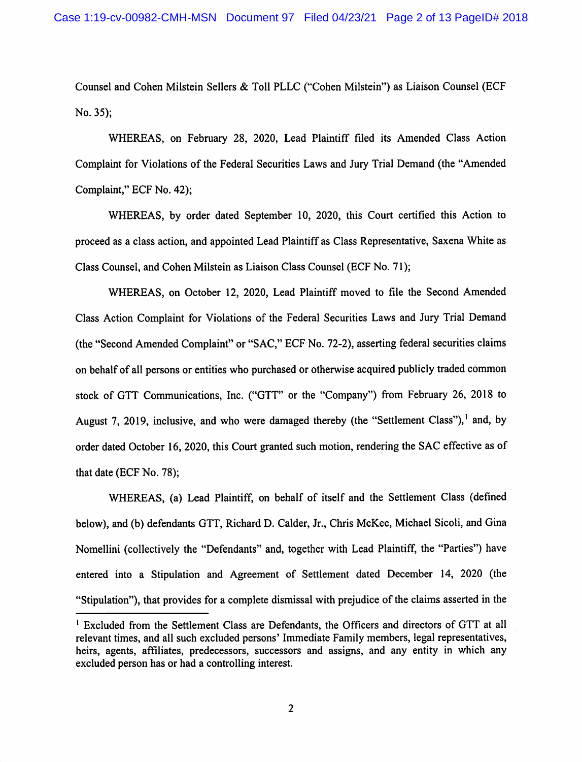Counsel and Cohen Milstein Sellers & Toll PLLC ("Cohen Milstein") as Liaison Counsel (ECF No. 35);

WHEREAS, on February 28, 2020, Lead Plaintiff filed its Amended Class Action Complaint for Violations of the Federal Securities Laws and Jury Trial Demand (the "Amended Complaint," ECF No. 42);

WHEREAS, by order dated September 10, 2020, this Court certified this Action to proceed as a class action, and appointed Lead Plaintiff as Class Representative, Saxena White as Class Counsel, and Cohen Milstein as Liaison Class Counsel (ECF No. 71);

WHEREAS, on October 12, 2020, Lead Plaintiff moved to file the Second Amended Class Action Complaint for Violations of the Federal Securities Laws and Jury Trial Demand (the "Second Amended Complaint" or "SAC," ECF No. 72-2), asserting federal securities claims on behalf of all persons or entities who purchased or otherwise acquired publicly traded common stock of GTT Communications, Inc. ("GTT" or the "Company") from February 26, 2018 to August 7, 2019, inclusive, and who were damaged thereby (the "Settlement Class"),<sup>1</sup> and, by order dated October 16, 2020, this Court granted such motion, rendering the SAC effective as of that date (ECF No. 78);

WHEREAS, (a) Lead Plaintiff, on behalf of itself and the Settlement Class (defined below), and (b) defendants GTT, Richard D. Calder, Jr., Chris McKee, Michael Sicoli, and Gina Nomellini (collectively the "Defendants" and, together with Lead Plaintiff, the "Parties") have entered into a Stipulation and Agreement of Settlement dated December 14, 2020 (the "Stipulation"), that provides for a complete dismissal with prejudice of the claims asserted in the

<sup>&#</sup>x27; Excluded from the Settlement Class are Defendants, the Officers and directors of GTT at all relevant times, and all such excluded persons' Immediate Family members, legal representatives, heirs, agents, affiliates, predecessors, successors and assigns, and any entity in which any excluded person has or had a controlling interest.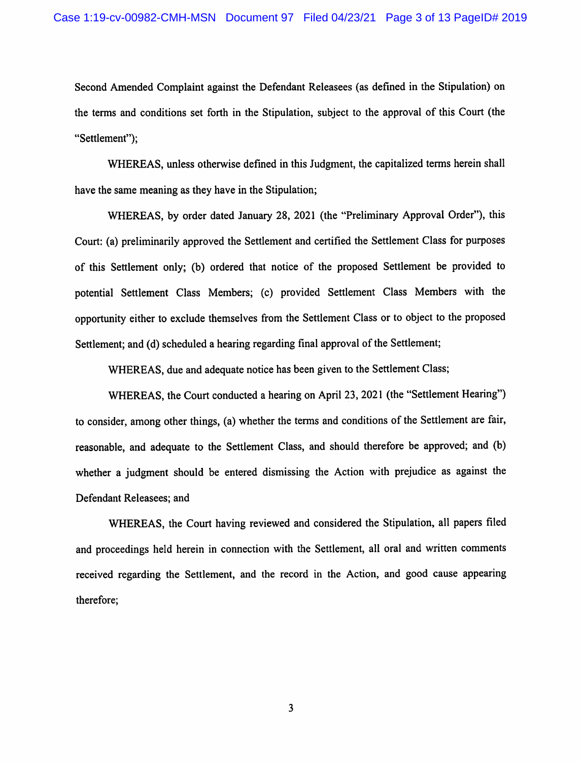Second Amended Complaint against the Defendant Releasees (as defined in the Stipulation) on the terms and conditions set forth in the Stipulation, subject to the approval of this Court (the "Settlement");

WHEREAS, unless otherwise defined in this Judgment, the capitalized terms herein shall have the same meaning as they have in the Stipulation;

WHEREAS, by order dated January 28, 2021 (the "Preliminary Approval Order"), this Court: (a) preliminarily approved the Settlement and certified the Settlement Class for purposes of this Settlement only; (b) ordered that notice of the proposed Settlement be provided to potential Settlement Class Members; (c) provided Settlement Class Members with the opportunity either to exclude themselves from the Settlement Class or to object to the proposed Settlement; and (d) scheduled a hearing regarding final approval of the Settlement;

WHEREAS, due and adequate notice has been given to the Settlement Class;

WHEREAS, the Court conducted a hearing on April 23, 2021 (the "Settlement Hearing") to consider, among other things, (a) whether the terms and conditions of the Settlement are fair, reasonable, and adequate to the Settlement Class, and should therefore be approved; and (b) whether a judgment should be entered dismissing the Action with prejudice as against the Defendant Releasees; and

WHEREAS, the Court having reviewed and considered the Stipulation, all papers filed and proceedings held herein in connection with the Settlement, all oral and written comments received regarding the Settlement, and the record in the Action, and good cause appearing therefore;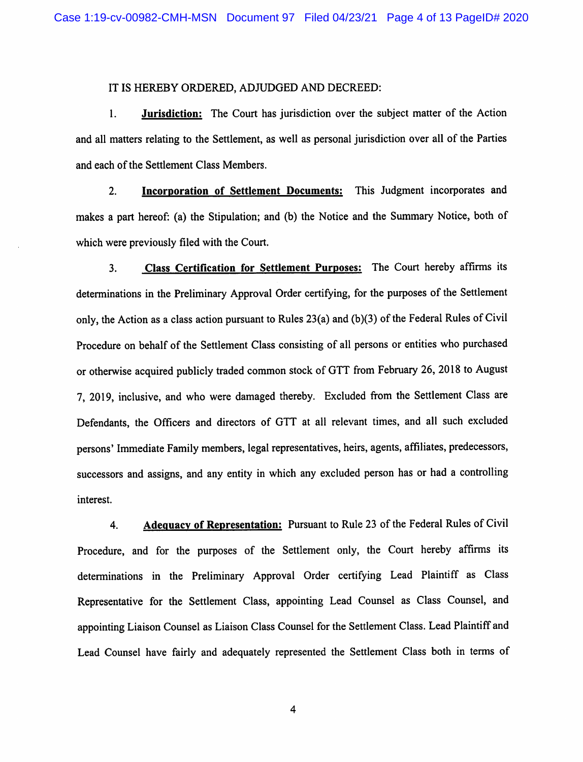## IT IS HEREBY ORDERED, ADJUDGED AND DECREED:

1. **Jurisdiction:** The Court has jurisdiction over the subject matter of the Action and all matters relating to the Settlement, as well as personal jurisdiction over all of the Parties and each of the Settlement Class Members.

2. **Incorporation of Settlement Documents:** This Judgment incorporates and makes a part hereof: (a) the Stipulation; and (b) the Notice and the Summary Notice, both of which were previously filed with the Court.

3. Class Certification for Settlement Purposes: The Court hereby affirms its determinations in the Preliminary Approval Order certifying, for the purposes of the Settlement only, the Action as a class action pursuant to Rules 23(a) and (b)(3) of the Federal Rules of Civil Procedure on behalf of the Settlement Class consisting of all persons or entities who purchased or otherwise acquired publicly traded common stock of GTT from February 26, 2018 to August 7, 2019, inclusive, and who were damaged thereby. Excluded from the Settlement Class are Defendants, the Officers and directors of GTT at all relevant times, and all such excluded persons' Immediate Family members, legal representatives, heirs, agents, affiliates, predecessors, successors and assigns, and any entity in which any excluded person has or had a controlling interest.

4. Adequacy of Representation: Pursuant to Rule 23 of the Federal Rules of Civil Procedure, and for the purposes of the Settlement only, the Court hereby affirms its determinations in the Preliminary Approval Order certifying Lead Plaintiff as Class Representative for the Settlement Class, appointing Lead Counsel as Class Counsel, and appointing Liaison Counsel as Liaison Class Counsel for the Settlement Class. Lead Plaintiff and Lead Counsel have fairly and adequately represented the Settlement Class both in terms of

 $\overline{4}$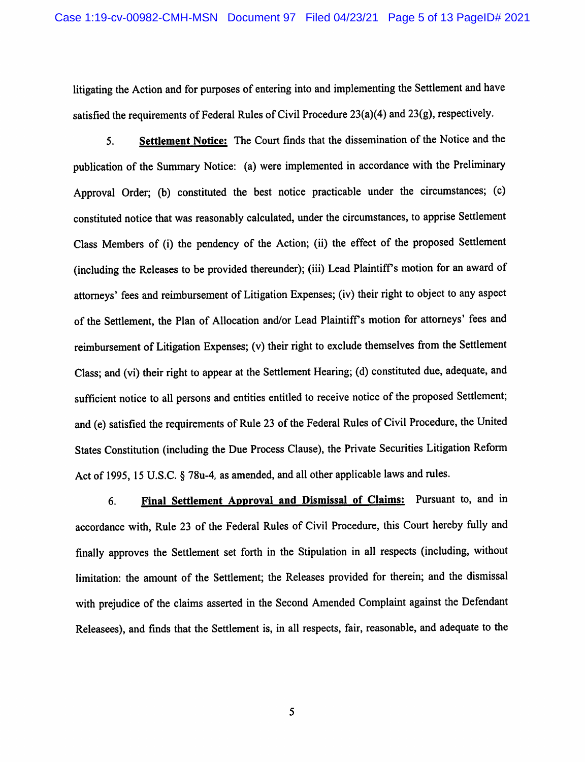litigating the Action and for purposes of entering into and implementing the Settlement and have satisfied the requirements of Federal Rules of Civil Procedure 23(a)(4) and 23(g), respectively.

5. Settlement Notice: The Court finds that the dissemination of the Notice and the publication of the Summary Notice: (a) were implemented in accordance with the Preliminary Approval Order; (b) constituted the best notice practicable under the circumstances; (c) constituted notice that was reasonably calculated, under the circumstances, to apprise Settlement Class Members of (i) the pendency of the Action; (ii) the effect of the proposed Settlement (including the Releases to be provided thereunder); (iii) Lead Plaintiff s motion for an award of attorneys' fees and reimbursement of Litigation Expenses; (iv) their right to object to any aspect of the Settlement, the Plan of Allocation and/or Lead Plaintiff's motion for attorneys' fees and reimbursement of Litigation Expenses; (v) their right to exclude themselves from the Settlement Class; and (vi) their right to appear at the Settlement Hearing; (d) constituted due, adequate, and sufficient notice to all persons and entities entitled to receive notice of the proposed Settlement; and (e) satisfied the requirements of Rule 23 of the Federal Rules of Civil Procedure, the United States Constitution (including the Due Process Clause), the Private Securities Litigation Reform Act of 1995, 15 U.S.C. § 78u-4, as amended, and all other applicable laws and rules.

6. Final Settlement Approval and Dismissal of Claims: Pursuant to, and in accordance with. Rule 23 of the Federal Rules of Civil Procedure, this Court hereby fully and finally approves the Settlement set forth in the Stipulation in all respects (including, without limitation: the amount of the Settlement; the Releases provided for therein; and the dismissal with prejudice of the claims asserted in the Second Amended Complaint against the Defendant Releasees), and finds that the Settlement is, in all respects, fair, reasonable, and adequate to the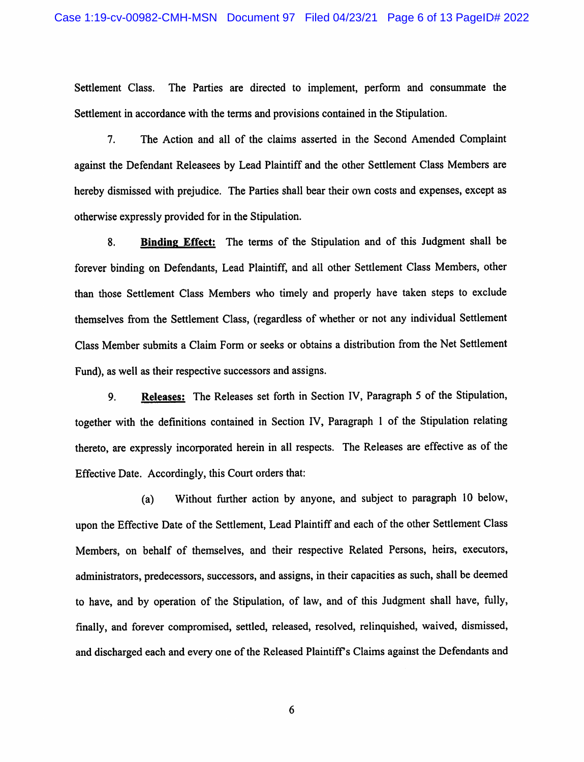Settlement Class. The Parties are directed to implement, perform and consummate the Settlement in accordance with the terms and provisions contained in the Stipulation.

7. The Action and all of the claims asserted in the Second Amended Complaint against the Defendant Releasees by Lead Plaintiff and the other Settlement Class Members are hereby dismissed with prejudice. The Parties shall bear their own costs and expenses, except as otherwise expressly provided for in the Stipulation.

8. Binding Effect: The terms of the Stipulation and of this Judgment shall be forever binding on Defendants, Lead Plaintiff, and all other Settlement Class Members, other than those Settlement Class Members who timely and properly have taken steps to exclude themselves from the Settlement Class, (regardless of whether or not any individual Settlement Class Member submits a Claim Form or seeks or obtains a distribution from the Net Settlement Fund), as well as their respective successors and assigns.

9. Releases: The Releases set forth in Section IV, Paragraph 5 of the Stipulation, together with the definitions contained in Section IV, Paragraph 1 of the Stipulation relating thereto, are expressly incorporated herein in all respects. The Releases are effective as of the Effective Date. Accordingly, this Court orders that:

(a) Without further action by anyone, and subject to paragraph 10 below, upon the Effective Date of the Settlement, Lead Plaintiff and each of the other Settlement Class Members, on behalf of themselves, and their respective Related Persons, heirs, executors, administrators, predecessors, successors, and assigns, in their capacities as such, shall be deemed to have, and by operation of the Stipulation, of law, and of this Judgment shall have, fully, finally, and forever compromised, settled, released, resolved, relinquished, waived, dismissed, and discharged each and every one of the Released Plaintiffs Claims against the Defendants and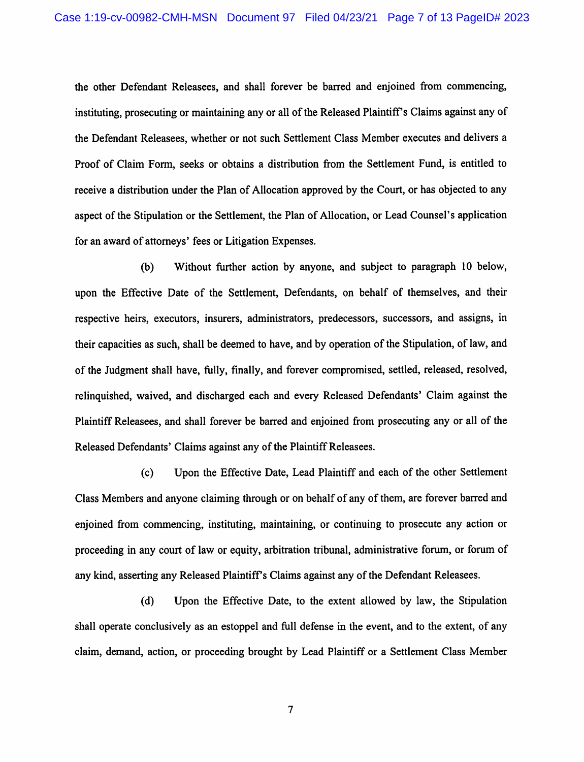the other Defendant Releasees, and shall forever be barred and enjoined from commencing, instituting, prosecuting or maintaining any or all of the Released Plaintiffs Claims against any of the Defendant Releasees, whether or not such Settlement Class Member executes and delivers a Proof of Claim Form, seeks or obtains a distribution from the Settlement Fund, is entitled to receive a distribution under the Plan of Allocation approved by the Court, or has objected to any aspect of the Stipulation or the Settlement, the Plan of Allocation, or Lead Counsel's application for an award of attomeys' fees or Litigation Expenses.

(b) Without further action by anyone, and subject to paragraph 10 below, upon the Effective Date of the Settlement, Defendants, on behalf of themselves, and their respective heirs, executors, insurers, administrators, predecessors, successors, and assigns, in their capacities as such, shall be deemed to have, and by operation of the Stipulation, of law, and of the Judgment shall have, fully, finally, and forever compromised, settled, released, resolved, relinquished, waived, and discharged each and every Released Defendants' Claim against the Plaintiff Releasees, and shall forever be barred and enjoined from prosecuting any or all of the Released Defendants' Claims against any of the Plaintiff Releasees.

(c) Upon the Effective Date, Lead Plaintiff and each of the other Settlement Class Members and anyone claiming through or on behalf of any of them, are forever barred and enjoined from commencing, instituting, maintaining, or continuing to prosecute any action or proceeding in any court of law or equity, arbitration tribunal, administrative forum, or forum of any kind, asserting any Released Plaintiffs Claims against any of the Defendant Releasees.

(d) Upon the Effective Date, to the extent allowed by law, the Stipulation shall operate conclusively as an estoppel and full defense in the event, and to the extent, of any claim, demand, action, or proceeding brought by Lead Plaintiff or a Settlement Class Member

 $\overline{7}$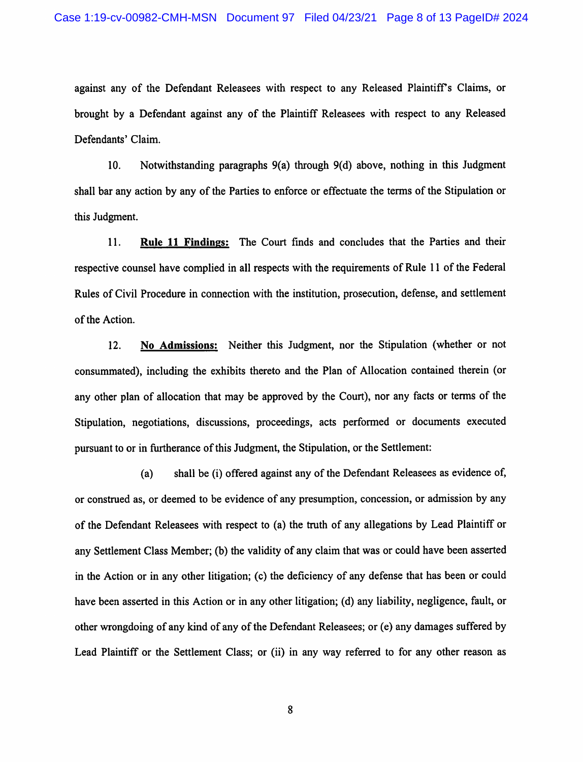against any of the Defendant Releasees with respect to any Released Plaintiff's Claims, or brought by a Defendant against any of the Plaintiff Releasees with respect to any Released Defendants' Claim.

10. Notwithstanding paragraphs 9(a) through 9(d) above, nothing in this Judgment shall bar any action by any of the Parties to enforce or effectuate the terms of the Stipulation or this Judgment.

11. Rule 11 Findings: The Court finds and concludes that the Parties and their respective counsel have complied in all respects with the requirements of Rule 11 of the Federal Rules of Civil Procedure in connection with the institution, prosecution, defense, and settlement of the Action.

12. No Admissions: Neither this Judgment, nor the Stipulation (whether or not consummated), including the exhibits thereto and the Plan of Allocation contained therein (or any other plan of allocation that may be approved by the Court), nor any facts or terms of the Stipulation, negotiations, discussions, proceedings, acts performed or documents executed pursuant to or in furtherance of this Judgment, the Stipulation, or the Settlement:

(a) shall be (i) offered against any of the Defendant Releasees as evidence of, or construed as, or deemed to be evidence of any presumption, concession, or admission by any of the Defendant Releasees with respect to (a) the truth of any allegations by Lead Plaintiff or any Settlement Class Member; (b) the validity of any claim that was or could have been asserted in the Action or in any other litigation; (c) the deficiency of any defense that has been or could have been asserted in this Action or in any other litigation; (d) any liability, negligence, fault, or other wrongdoing of any kind of any of the Defendant Releasees; or (e) any damages suffered by Lead Plaintiff or the Settlement Class; or (ii) in any way referred to for any other reason as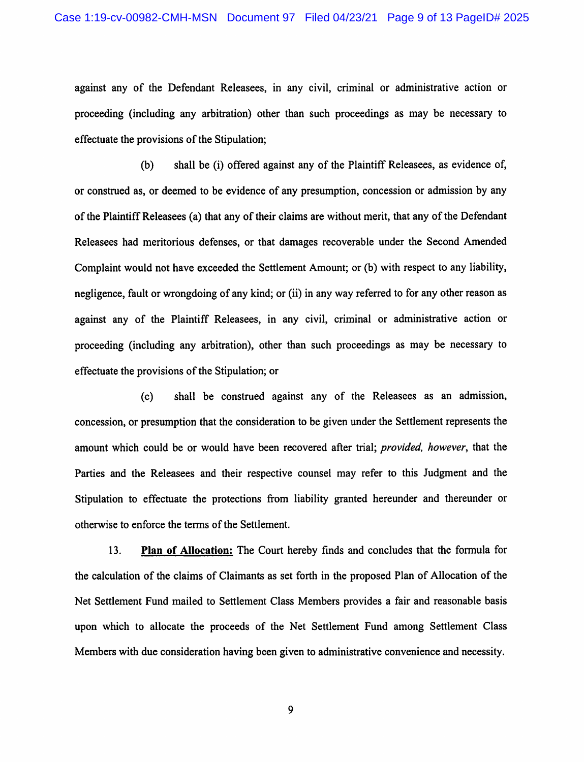against any of the Defendant Releasees, in any civil, criminal or administrative action or proceeding (including any arbitration) other than such proceedings as may be necessary to effectuate the provisions of the Stipulation;

(b) shall be (i) offered against any of the Plaintiff Releasees, as evidence of, or construed as, or deemed to be evidence of any presumption, concession or admission by any of the Plaintiff Releasees (a) that any of their claims are without merit, that any of the Defendant Releasees had meritorious defenses, or that damages recoverable under the Second Amended Complaint would not have exceeded the Settlement Amount; or (b) with respect to any liability, negligence, fault or wrongdoing of any kind; or (ii) in any way referred to for any other reason as against any of the Plaintiff Releasees, in any civil, criminal or administrative action or proceeding (including any arbitration), other than such proceedings as may be necessary to effectuate the provisions of the Stipulation; or

(c) shall be construed against any of the Releasees as an admission, concession, or presumption that the consideration to be given under the Settlement represents the amount which could be or would have been recovered after trial; provided, however, that the Parties and the Releasees and their respective counsel may refer to this Judgment and the Stipulation to effectuate the protections from liability granted hereunder and thereunder or otherwise to enforce the terms of the Settlement.

13. Plan of Allocation: The Court hereby finds and concludes that the formula for the calculation of the claims of Claimants as set forth in the proposed Plan of Allocation of the Net Settlement Fund mailed to Settlement Class Members provides a fair and reasonable basis upon which to allocate the proceeds of the Net Settlement Fund among Settlement Class Members with due consideration having been given to administrative convenience and necessity.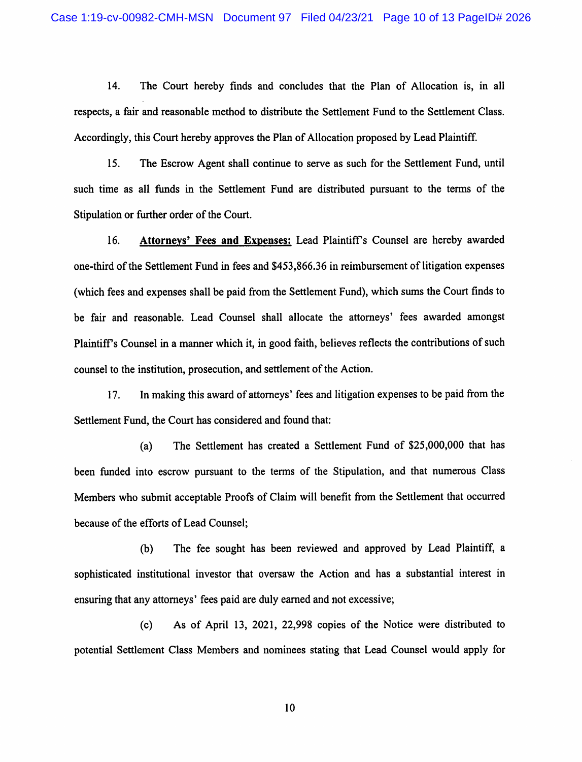14. The Court hereby finds and concludes that the Plan of Allocation is, in all respects, a fair and reasonable method to distribute the Settlement Fund to the Settlement Class. Accordingly, this Court hereby approves the Plan of Allocation proposed by Lead Plaintiff.

15. The Escrow Agent shall continue to serve as such for the Settlement Fund, until such time as all funds in the Settlement Fund are distributed pursuant to the terms of the Stipulation or further order of the Court.

16. Attorneys\* Fees and Expenses; Lead Plaintiffs Counsel are hereby awarded one-third of the Settlement Fund in fees and \$453,866.36 in reimbursement of litigation expenses (which fees and expenses shall be paid from the Settlement Fund), which sums the Court finds to be fair and reasonable. Lead Counsel shall allocate the attorneys' fees awarded amongst Plaintiffs Counsel in a manner which it, in good faith, believes reflects the contributions of such counsel to the institution, prosecution, and settlement of the Action.

17. In making this award of attorneys' fees and litigation expenses to be paid from the Settlement Fund, the Court has considered and found that:

(a) The Settlement has created a Settlement Fund of \$25,000,000 that has been funded into escrow pursuant to the terms of the Stipulation, and that numerous Class Members who submit acceptable Proofs of Claim will benefit from the Settlement that occurred because of the efforts of Lead Counsel;

(b) The fee sought has been reviewed and approved by Lead Plaintiff, a sophisticated institutional investor that oversaw the Action and has a substantial interest in ensuring that any attorneys' fees paid are duly earned and not excessive;

(c) As of April 13, 2021, 22,998 copies of the Notice were distributed to potential Settlement Class Members and nominees stating that Lead Counsel would apply for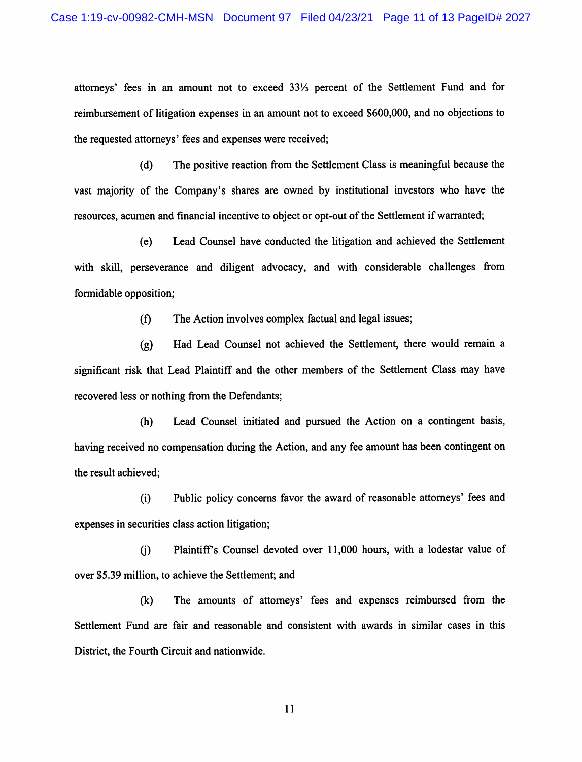attorneys' fees in an amount not to exceed 331/3 percent of the Settlement Fund and for reimbursement of litigation expenses in an amount not to exceed \$600,000, and no objections to the requested attorneys' fees and expenses were received;

(d) The positive reaction from the Settlement Class is meaningful because the vast majority of the Company's shares are owned by institutional investors who have the resources, acumen and financial incentive to object or opt-out of the Settlement if warranted;

(e) Lead Counsel have conducted the litigation and achieved the Settlement with skill, perseverance and diligent advocacy, and with considerable challenges from formidable opposition;

(f) The Action involves complex factual and legal issues;

(g) Had Lead Counsel not achieved the Settlement, there would remain a significant risk that Lead Plaintiff and the other members of the Settlement Class may have recovered less or nothing from the Defendants;

(h) Lead Counsel initiated and pursued the Action on a contingent basis, having received no compensation during the Action, and any fee amount has been contingent on the result achieved;

(i) Public policy concerns favor the award of reasonable attomeys' fees and expenses in securities class action litigation;

(j) Plaintiffs Counsel devoted over 11,000 hours, with a lodestar value of over \$5.39 million, to achieve the Settlement; and

(k) The amounts of attomeys' fees and expenses reimbursed from the Settlement Fund are fair and reasonable and consistent with awards in similar cases in this District, the Fourth Circuit and nationwide.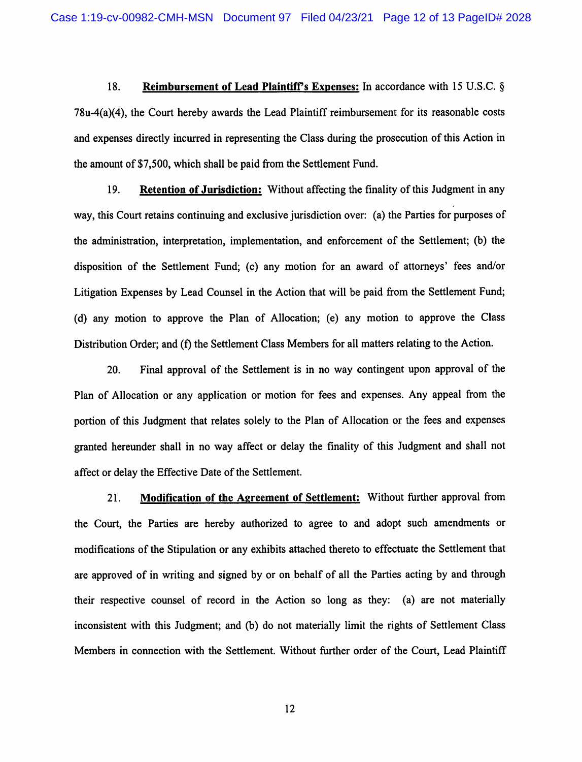18. Reimbursement of Lead Plaintiff's Expenses: In accordance with 15 U.S.C. § 78u-4(a)(4), the Court hereby awards the Lead Plaintiff reimbursement for its reasonable costs and expenses directly incurred in representing the Class during the prosecution of this Action in the amount of \$7,500, which shall be paid from the Settlement Fund.

19. Retention of Jurisdiction: Without affecting the finality of this Judgment in any way, this Court retains continuing and exclusive jurisdiction over: (a) the Parties for purposes of the administration, interpretation, implementation, and enforcement of the Settlement; (b) the disposition of the Settlement Fund; (c) any motion for an award of attorneys' fees and/or Litigation Expenses by Lead Counsel in the Action that will be paid from the Settlement Fund; (d) any motion to approve the Plan of Allocation; (e) any motion to approve the Class Distribution Order; and (f) the Settlement Class Members for all matters relating to the Action.

20. Final approval of the Settlement is in no way contingent upon approval of the Plan of Allocation or any application or motion for fees and expenses. Any appeal from the portion of this Judgment that relates solely to the Plan of Allocation or the fees and expenses granted hereunder shall in no way affect or delay the finality of this Judgment and shall not affect or delay the Effective Date of the Settlement.

21. Modification of the Agreement of Settlement: Without further approval from the Court, the Parties are hereby authorized to agree to and adopt such amendments or modifications of the Stipulation or any exhibits attached thereto to effectuate the Settlement that are approved of in writing and signed by or on behalf of all the Parties acting by and through their respective counsel of record in the Action so long as they: (a) are not materially inconsistent with this Judgment; and (b) do not materially limit the rights of Settlement Class Members in connection with the Settlement. Without further order of the Court, Lead Plaintiff